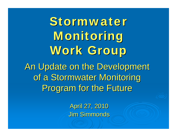An Update on the Development of a Stormwater Monitoring Program for the Future Stormwater Monitoring Work Group

> April 27, 2010 Jim Simmonds Jim Simmonds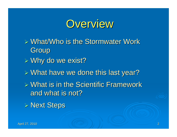

 $\triangleright$  What/Who is the Stormwater Work Group  $>$  Why do we exist?  $\triangleright$  What have we done this last year?  $\triangleright$  What is in the Scientific Framework and what is not?  $\triangleright$  Next Steps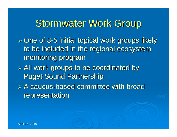## Stormwater Work Group

- $>$  One of 3-5 initial topical work groups likely  $\geq$ to be included in the regional ecosystem monitoring program
- $\triangleright$  All work groups to be coordinated by **Puget Sound Partnership**
- $\triangleright$  A caucus-based committee with broad representation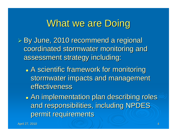#### What we are Doing

 $\triangleright$  By June, 2010 recommend a regional coordinated stormwater monitoring and assessment strategy including:

- $\bigcirc$ **• A scientific framework for monitoring** stormwater impacts and management effectiveness
- $\bigcirc$  $\bullet$  An implementation plan describing roles and responsibilities, including NPDES permit requirements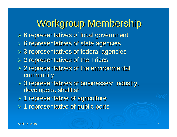# Workgroup Membership

- $6$  fepresentatives of local government
- $\triangleright$  6 representatives of state agencies
- $>$  3 representatives of federal agencies
- $>$  2 representatives of the Tribes
- $\geq 2$  representatives of the environmental community community
- $>$  3 representatives of businesses: industry, developers, shellfish
- $> 1$  representative of agriculture
- $\geq 1$  representative of public ports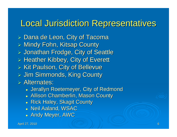#### **Local Jurisdiction Representatives**

> Dana de Leon, City of Tacoma  $\triangleright$  Mindy Fohn, Kitsap County > Jonathan Frodge, City of Seattle  $\triangleright$  Heather Kibbey, City of Everett  $\triangleright$  Kit Paulson, City of Bellevue > Jim Simmonds, King County  $\triangleright$  Alternates:

- **Jerallyn Roetemeyer, City of Redmond**
- **Allison Chamberlin, Mason County**
- **Rick Haley, Skagit County**
- **Neil Aaland, WSAC**
- Andy Meyer, AWC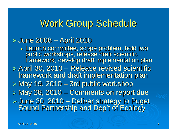# Work Group Schedule

#### *⊳* June 2008 – April 2010

· Launch committee, scope problem, hold two public workshops, release draft scientific<br>framework, develop draft implementation plan

 $\triangleright$  April 30, 2010 – Release revised scientific framework and draft implementation plan

 $\triangleright$  May 19, 2010 – 3rd public workshop

 $\triangleright$  May 28, 2010 – Comments on report due > June 30, 2010 - Deliver strategy to Puget

Sound Partnership and Dep't of Ecology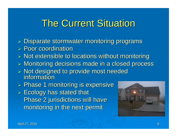# **The Current Situation**

- $\triangleright$  Disparate stormwater monitoring programs
- $\triangleright$  Poor coordination
- $\triangleright$  Not extensible to locations without monitoring
- $\triangleright$  Monitoring decisions made in a closed process
- > Not designed to provide most needed information information
- > Phase 1 monitoring is expensive
- $\triangleright$  Ecology has stated that Phase 2 jurisdictions will have monitoring in the next permit

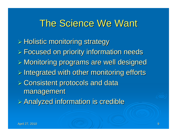### The Science We Want

 $\triangleright$  Holistic monitoring strategy  $\triangleright$  Focused on priority information needs  $\triangleright$  Monitoring programs are well designed  $\triangleright$  Integrated with other monitoring efforts  $\triangleright$  Consistent protocols and data management  $\triangleright$  Analyzed information is credible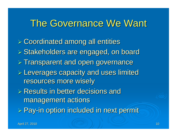### The Governance We Want

 Coordinated among all entities Coordinated among all entities  $>$  Stakeholders are engaged, on board  $\triangleright$  Transparent and open governance  $\triangleright$  Leverages capacity and uses limited resources more wisely resources more wisely  $\triangleright$  Results in better decisions and management actions  $\triangleright$  Pay-in option included in next permit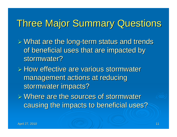# **Three Major Summary Questions**

 $\triangleright$  What are the long-term status and trends of beneficial uses that are impacted by stormwater?

 $\triangleright$  How effective are various stormwater management actions at reducing stormwater impacts?

 $\triangleright$  Where are the sources of stormwater causing the impacts to beneficial uses?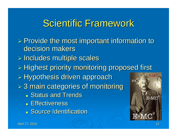# Scientific Framework

 $\triangleright$  Provide the most important information to decision makers  $\triangleright$  Includes multiple scales  $\triangleright$  Highest priority monitoring proposed first  $\triangleright$  Hypothesis driven approach  $E-MC$  $>$  3 main categories of monitoring **Status and Trends**  $E = MC$ **• Effectiveness** 

**Source Identification**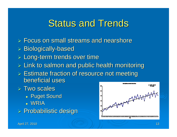# **Status and Trends**

- $\triangleright$  Focus on small streams and nearshore
- > Biologically-based
- $\triangleright$  Long-term trends over time
- $\triangleright$  Link to salmon and public health monitoring
- $\triangleright$  Estimate fraction of resource not meeting beneficial uses
- $\triangleright$  Two scales
	- **Puget Sound**
	- WRIA
- $\triangleright$  Probabilistic design

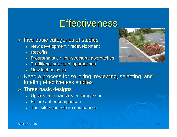#### **Effectiveness**

 $\triangleright$  Five basic categories of studies

- New development / redevelopment
- Retrofits
- $\bullet~$  Programmatic / non-structural approaches
- $\bullet~$  Traditional structural approaches
- New technologies
- $\triangleright$  Need a process for soliciting, reviewing, selecting, and funding effectiveness studies
- $>$  Three basic designs
	- $\bullet~$  Upstream / downstream comparison
	- **·** Before / after comparison
	- $\bullet~$  Test site / control site comparison

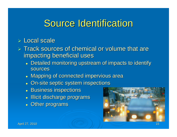## Source Identification

#### > Local scale

- $\triangleright$  Track sources of chemical or volume that are impacting beneficial uses
	- Detailed monitoring upstream of impacts to identify sources
	- Mapping of connected impervious area
	- $\bullet$  On-site septic system inspections
	- Business inspections
	- Illicit discharge programs
	- Other programs

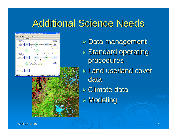# **Additional Science Needs**



 $\triangleright$  Data management  $\triangleright$  Standard operating procedures  $\triangleright$  Land use/land cover data $\triangleright$  Climate data  $\triangleright$  Modeling

April 27, 2010 **April 27, 2010 April 27, 2010 April 27, 2010**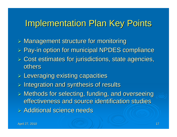#### **Implementation Plan Key Points**

 $\triangleright$  Management structure for monitoring  $\triangleright$  Pay-in option for municipal NPDES compliance

- $\triangleright$  Cost estimates for jurisdictions, state agencies, others
- $\triangleright$  Leveraging existing capacities
- $\triangleright$  Integration and synthesis of results
- $\triangleright$  Methods for selecting, funding, and overseeing effectiveness and source identification studies
- $\triangleright$  Additional science needs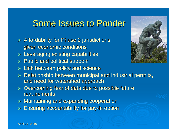#### Some Issues to Ponder

- $\triangleright$  Affordability for Phase 2 jurisdictions given economic conditions
- $\triangleright$  Leveraging existing capabilities
- $\triangleright$  Public and political support
- $\triangleright$  Link between policy and science
- $\triangleright$  Relationship between municipal and industrial permits, and need for watershed approach
- $\triangleright$  Overcoming fear of data due to possible future requirements
- $\blacktriangleright$ Maintaining and expanding cooperation
- $\triangleright$  Ensuring accountability for pay-in option